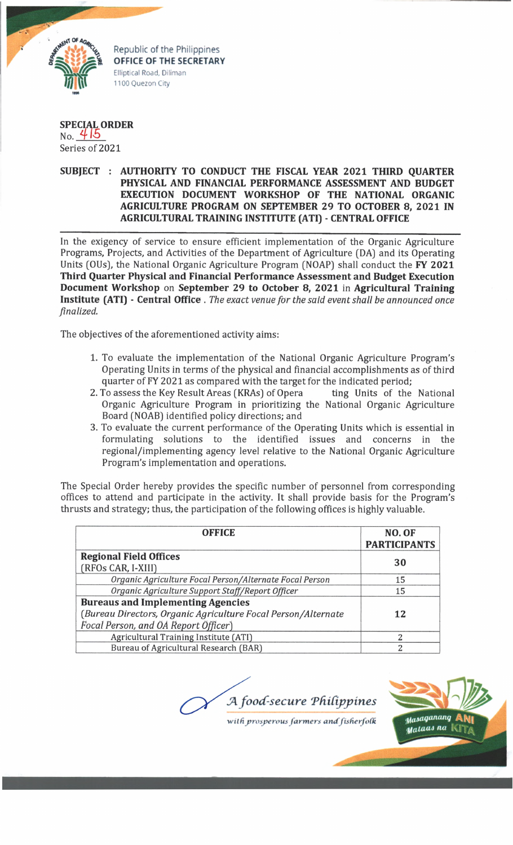

Republic of the Philippines **OFFICE OF THE SECRETARY** Elliptical Road, Diliman 1100 Quezon City

## **SPECIAL ORDER**<br>No. 415 Series of 2021

## **SUBJECT : AUTHORITY TO CONDUCT THE FISCAL YEAR 2021 THIRD QUARTER PHYSICAL AND FINANCIAL PERFORMANCE ASSESSMENT AND BUDGET EXECUTION DOCUMENT WORKSHOP OF THE NATIONAL ORGANIC AGRICULTURE PROGRAM ON SEPTEMBER 29 TO OCTOBER 8, 2021 IN AGRICULTURAL TRAINING INSTITUTE (ATI) - CENTRAL OFFICE**

In the exigency of service to ensure efficient implementation of the Organic Agriculture Programs, Projects, and Activities of the Department of Agriculture (DA) and its Operating Units (OUs), the National Organic Agriculture Program (NOAP) shall conduct the **FY 2021 Third Quarter Physical and Financial Performance Assessment and Budget Execution Document Workshop** on **September 29 to October 8, 2021** in **Agricultural Training Institute (ATI) - Central Office .** *The exact venue for the said event shall be announced once finalized.*

The objectives of the aforementioned activity aims:

- 1. To evaluate the implementation of the National Organic Agriculture Program's Operating Units in terms of the physical and financial accomplishments as of third quarter of FY 2021 as compared with the target for the indicated period;
- 2. To assess the Key Result Areas (KRAs) of Opera ting Units of the National Organic Agriculture Program in prioritizing the National Organic Agriculture Board (NOAB) identified policy directions; and
- 3. To evaluate the current performance of the Operating Units which is essential in formulating solutions to the identified issues and concerns in the regional/implementing agency level relative to the National Organic Agriculture Program's implementation and operations.

The Special Order hereby provides the specific number of personnel from corresponding offices to attend and participate in the activity. It shall provide basis for the Program's thrusts and strategy; thus, the participation of the following offices is highly valuable.

| <b>OFFICE</b>                                                 | NO. OF<br><b>PARTICIPANTS</b> |
|---------------------------------------------------------------|-------------------------------|
| <b>Regional Field Offices</b>                                 | 30                            |
| (RFOs CAR, I-XIII)                                            |                               |
| Organic Agriculture Focal Person/Alternate Focal Person       | 15                            |
| Organic Agriculture Support Staff/Report Officer              | 15                            |
| <b>Bureaus and Implementing Agencies</b>                      |                               |
| (Bureau Directors, Organic Agriculture Focal Person/Alternate | 12                            |
| Focal Person, and OA Report Officer)                          |                               |
| Agricultural Training Institute (ATI)                         | っ                             |
| Bureau of Agricultural Research (BAR)                         | っ                             |

A food-secure Philippines



with prosperous farmers and fisherfolk